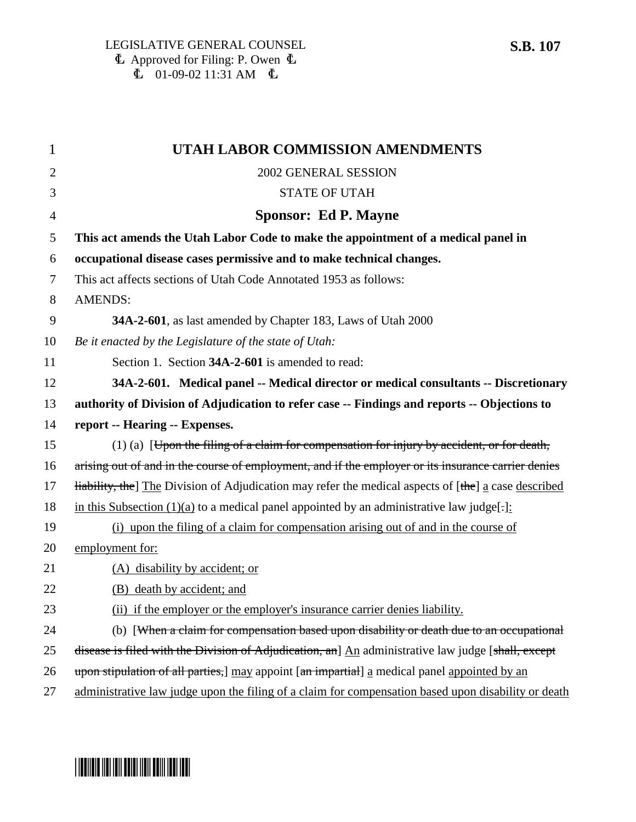| $\mathbf 1$    | <b>UTAH LABOR COMMISSION AMENDMENTS</b>                                                             |
|----------------|-----------------------------------------------------------------------------------------------------|
| $\overline{2}$ | 2002 GENERAL SESSION                                                                                |
| 3              | <b>STATE OF UTAH</b>                                                                                |
| 4              | <b>Sponsor: Ed P. Mayne</b>                                                                         |
| 5              | This act amends the Utah Labor Code to make the appointment of a medical panel in                   |
| 6              | occupational disease cases permissive and to make technical changes.                                |
| 7              | This act affects sections of Utah Code Annotated 1953 as follows:                                   |
| 8              | <b>AMENDS:</b>                                                                                      |
| 9              | 34A-2-601, as last amended by Chapter 183, Laws of Utah 2000                                        |
| 10             | Be it enacted by the Legislature of the state of Utah:                                              |
| 11             | Section 1. Section 34A-2-601 is amended to read:                                                    |
| 12             | 34A-2-601. Medical panel -- Medical director or medical consultants -- Discretionary                |
| 13             | authority of Division of Adjudication to refer case -- Findings and reports -- Objections to        |
| 14             | report -- Hearing -- Expenses.                                                                      |
| 15             | $(1)$ (a) [Upon the filing of a claim for compensation for injury by accident, or for death,        |
| 16             | arising out of and in the course of employment, and if the employer or its insurance carrier denies |
| 17             | Hability, the The Division of Adjudication may refer the medical aspects of [the] a case described  |
| 18             | in this Subsection $(1)(a)$ to a medical panel appointed by an administrative law judge[:]:         |
| 19             | (i) upon the filing of a claim for compensation arising out of and in the course of                 |
| 20             | employment for:                                                                                     |
| 21             | (A) disability by accident; or                                                                      |
| 22             | (B) death by accident; and                                                                          |
| 23             | (ii) if the employer or the employer's insurance carrier denies liability.                          |
| 24             | (b) [When a claim for compensation based upon disability or death due to an occupational            |
| 25             | disease is filed with the Division of Adjudication, an] An administrative law judge [shall, except  |
| 26             | upon stipulation of all parties, may appoint [an impartial] a medical panel appointed by an         |
| 27             | administrative law judge upon the filing of a claim for compensation based upon disability or death |

# \*SB0107\*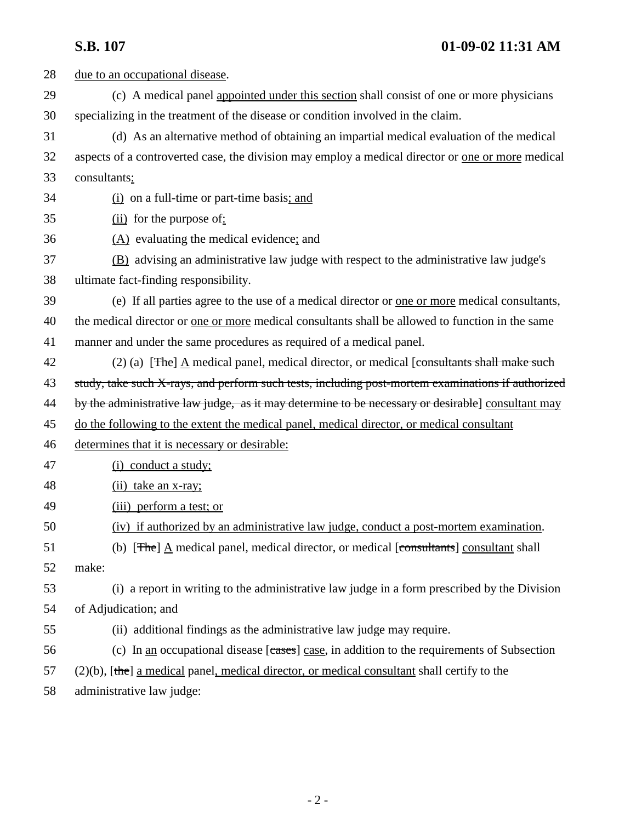**S.B. 107 01-09-02 11:31 AM**

| 28 | due to an occupational disease.                                                                                    |
|----|--------------------------------------------------------------------------------------------------------------------|
| 29 | (c) A medical panel appointed under this section shall consist of one or more physicians                           |
| 30 | specializing in the treatment of the disease or condition involved in the claim.                                   |
| 31 | (d) As an alternative method of obtaining an impartial medical evaluation of the medical                           |
| 32 | aspects of a controverted case, the division may employ a medical director or <u>one or more</u> medical           |
| 33 | consultants:                                                                                                       |
| 34 | $(i)$ on a full-time or part-time basis; and                                                                       |
| 35 | $(ii)$ for the purpose of:                                                                                         |
| 36 | $(A)$ evaluating the medical evidence; and                                                                         |
| 37 | (B) advising an administrative law judge with respect to the administrative law judge's                            |
| 38 | ultimate fact-finding responsibility.                                                                              |
| 39 | (e) If all parties agree to the use of a medical director or <u>one or more</u> medical consultants,               |
| 40 | the medical director or <u>one or more</u> medical consultants shall be allowed to function in the same            |
| 41 | manner and under the same procedures as required of a medical panel.                                               |
| 42 | (2) (a) [ $\frac{F}{r}$ ] $\underline{A}$ medical panel, medical director, or medical [consultants shall make such |
| 43 | study, take such X-rays, and perform such tests, including post-mortem examinations if authorized                  |
| 44 | by the administrative law judge, as it may determine to be necessary or desirable] consultant may                  |
| 45 | do the following to the extent the medical panel, medical director, or medical consultant                          |
| 46 | determines that it is necessary or desirable:                                                                      |
| 47 | (i) conduct a study;                                                                                               |
| 48 | (ii) take an x-ray;                                                                                                |
| 49 | (iii) perform a test; or                                                                                           |
| 50 | (iv) if authorized by an administrative law judge, conduct a post-mortem examination.                              |
| 51 | (b) [ $\pi$ he] $\underline{A}$ medical panel, medical director, or medical [consultants] consultant shall         |
| 52 | make:                                                                                                              |
| 53 | (i) a report in writing to the administrative law judge in a form prescribed by the Division                       |
| 54 | of Adjudication; and                                                                                               |
| 55 | (ii) additional findings as the administrative law judge may require.                                              |
| 56 | (c) In <u>an</u> occupational disease [cases] case, in addition to the requirements of Subsection                  |
| 57 | $(2)(b)$ , [the] a medical panel, medical director, or medical consultant shall certify to the                     |
| 58 | administrative law judge:                                                                                          |
|    |                                                                                                                    |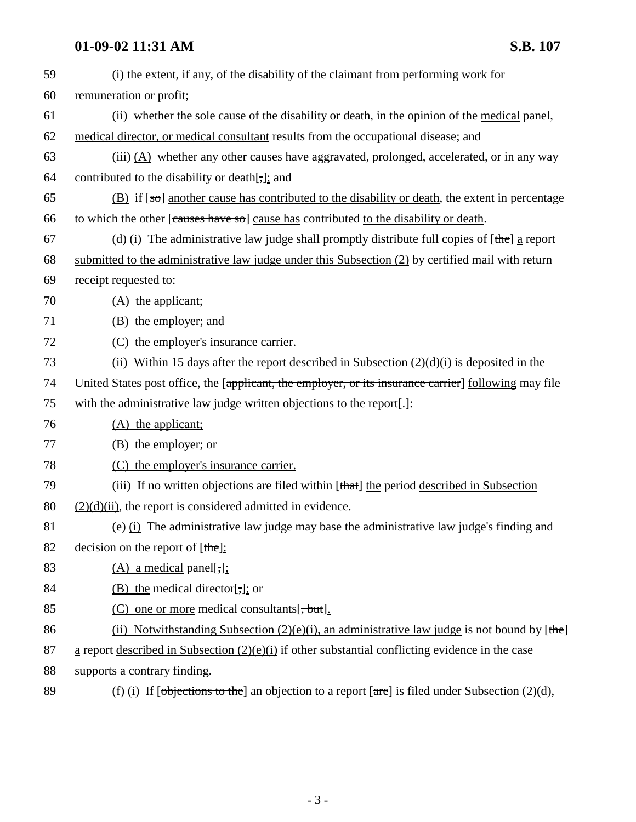# **01-09-02 11:31 AM S.B. 107**

| 59 | (i) the extent, if any, of the disability of the claimant from performing work for                             |
|----|----------------------------------------------------------------------------------------------------------------|
| 60 | remuneration or profit;                                                                                        |
| 61 | (ii) whether the sole cause of the disability or death, in the opinion of the <u>medical</u> panel,            |
| 62 | medical director, or medical consultant results from the occupational disease; and                             |
| 63 | (iii) $(A)$ whether any other causes have aggravated, prolonged, accelerated, or in any way                    |
| 64 | contributed to the disability or death[,]; and                                                                 |
| 65 | $(B)$ if $[50]$ another cause has contributed to the disability or death, the extent in percentage             |
| 66 | to which the other [causes have so] cause has contributed to the disability or death.                          |
| 67 | (d) (i) The administrative law judge shall promptly distribute full copies of $[\theta]$ a report              |
| 68 | submitted to the administrative law judge under this Subsection (2) by certified mail with return              |
| 69 | receipt requested to:                                                                                          |
| 70 | (A) the applicant;                                                                                             |
| 71 | (B) the employer; and                                                                                          |
| 72 | (C) the employer's insurance carrier.                                                                          |
| 73 | (ii) Within 15 days after the report <u>described in Subsection <math>(2)(d)(i)</math></u> is deposited in the |
| 74 | United States post office, the [applicant, the employer, or its insurance carrier] following may file          |
| 75 | with the administrative law judge written objections to the report[:]:                                         |
| 76 | $(A)$ the applicant;                                                                                           |
| 77 | (B) the employer; or                                                                                           |
| 78 | (C) the employer's insurance carrier.                                                                          |
| 79 | (iii) If no written objections are filed within [that] the period described in Subsection                      |
| 80 | $(2)(d)(ii)$ , the report is considered admitted in evidence.                                                  |
| 81 | (e) $(i)$ The administrative law judge may base the administrative law judge's finding and                     |
| 82 | decision on the report of $[\theta]$ :                                                                         |
| 83 | $(A)$ a medical panel[,]:                                                                                      |
| 84 | $(B)$ the medical director[,]; or                                                                              |
| 85 | $(C)$ one or more medical consultants $[\frac{1}{2}, \frac{1}{2}]$ .                                           |
| 86 | (ii) Notwithstanding Subsection $(2)(e)(i)$ , an administrative law judge is not bound by [the]                |
| 87 | $\underline{a}$ report described in Subsection (2)(e)(i) if other substantial conflicting evidence in the case |
| 88 | supports a contrary finding.                                                                                   |

89 (f) (i) If  $[*objects* to the] an objection to a report  $[*are*]$  is filed under Subsection (2)(d),$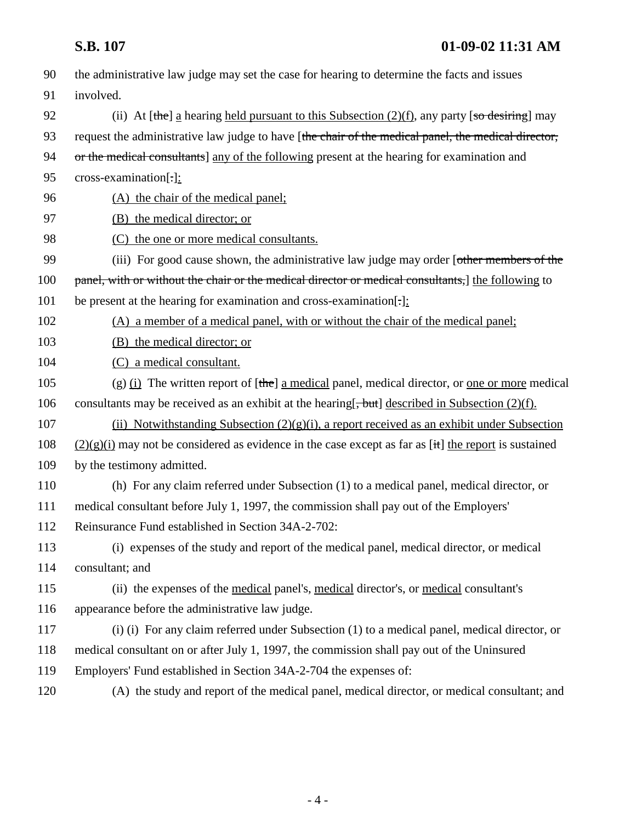| 90  | the administrative law judge may set the case for hearing to determine the facts and issues               |
|-----|-----------------------------------------------------------------------------------------------------------|
| 91  | involved.                                                                                                 |
| 92  | (ii) At [the] a hearing held pursuant to this Subsection $(2)(f)$ , any party [so desiring] may           |
| 93  | request the administrative law judge to have [the chair of the medical panel, the medical director,       |
| 94  | or the medical consultants] any of the following present at the hearing for examination and               |
| 95  | cross-examination[-]:                                                                                     |
| 96  | (A) the chair of the medical panel;                                                                       |
| 97  | (B) the medical director; or                                                                              |
| 98  | (C) the one or more medical consultants.                                                                  |
| 99  | (iii) For good cause shown, the administrative law judge may order [other members of the                  |
| 100 | panel, with or without the chair or the medical director or medical consultants, the following to         |
| 101 | be present at the hearing for examination and cross-examination[-]:                                       |
| 102 | (A) a member of a medical panel, with or without the chair of the medical panel;                          |
| 103 | (B) the medical director; or                                                                              |
| 104 | (C) a medical consultant.                                                                                 |
| 105 | (g) (i) The written report of $[\theta]$ a medical panel, medical director, or <u>one or more</u> medical |
| 106 | consultants may be received as an exhibit at the hearing[, but] described in Subsection (2)(f).           |
| 107 | (ii) Notwithstanding Subsection $(2)(g)(i)$ , a report received as an exhibit under Subsection            |
| 108 | $(2)(g)(i)$ may not be considered as evidence in the case except as far as [it] the report is sustained   |
| 109 | by the testimony admitted.                                                                                |
| 110 | (h) For any claim referred under Subsection (1) to a medical panel, medical director, or                  |
| 111 | medical consultant before July 1, 1997, the commission shall pay out of the Employers'                    |
| 112 | Reinsurance Fund established in Section 34A-2-702:                                                        |
| 113 | (i) expenses of the study and report of the medical panel, medical director, or medical                   |
| 114 | consultant; and                                                                                           |
| 115 | (ii) the expenses of the <u>medical</u> panel's, medical director's, or medical consultant's              |
| 116 | appearance before the administrative law judge.                                                           |
| 117 | (i) (i) For any claim referred under Subsection (1) to a medical panel, medical director, or              |
| 118 | medical consultant on or after July 1, 1997, the commission shall pay out of the Uninsured                |
| 119 | Employers' Fund established in Section 34A-2-704 the expenses of:                                         |
| 120 | (A) the study and report of the medical panel, medical director, or medical consultant; and               |
|     |                                                                                                           |